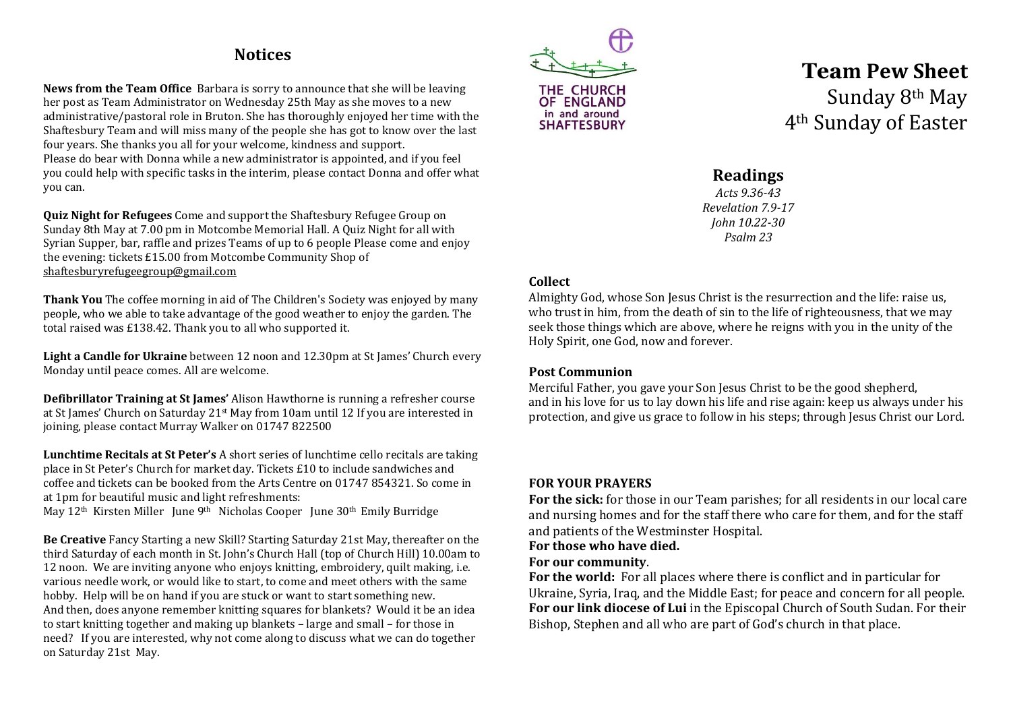## **Notices**

**News from the Team Office** Barbara is sorry to announce that she will be leaving her post as Team Administrator on Wednesday 25th May as she moves to a new administrative/pastoral role in Bruton. She has thoroughly enjoyed her time with the Shaftesbury Team and will miss many of the people she has got to know over the last four years. She thanks you all for your welcome, kindness and support. Please do bear with Donna while a new administrator is appointed, and if you feel you could help with specific tasks in the interim, please contact Donna and offer what you can.

**Quiz Night for Refugees** Come and support the Shaftesbury Refugee Group on Sunday 8th May at 7.00 pm in Motcombe Memorial Hall. A Quiz Night for all with Syrian Supper, bar, raffle and prizes Teams of up to 6 people Please come and enjoy the evening: tickets £15.00 from Motcombe Community Shop of [shaftesburyrefugeegroup@gmail.com](mailto:shaftesburyrefugeegroup@gmail.com)

**Thank You** The coffee morning in aid of The Children's Society was enjoyed by many people, who we able to take advantage of the good weather to enjoy the garden. The total raised was £138.42. Thank you to all who supported it.

**Light a Candle for Ukraine** between 12 noon and 12.30pm at St James' Church every Monday until peace comes. All are welcome.

**Defibrillator Training at St James'** Alison Hawthorne is running a refresher course at St James' Church on Saturday 21st May from 10am until 12 If you are interested in joining, please contact Murray Walker on 01747 822500

**Lunchtime Recitals at St Peter's** A short series of lunchtime cello recitals are taking place in St Peter's Church for market day. Tickets £10 to include sandwiches and coffee and tickets can be booked from the Arts Centre on 01747 854321. So come in at 1pm for beautiful music and light refreshments:

May 12<sup>th</sup> Kirsten Miller June 9<sup>th</sup> Nicholas Cooper June 30<sup>th</sup> Emily Burridge

**Be Creative** Fancy Starting a new Skill? Starting Saturday 21st May, thereafter on the third Saturday of each month in St. John's Church Hall (top of Church Hill) 10.00am to 12 noon. We are inviting anyone who enjoys knitting, embroidery, quilt making, i.e. various needle work, or would like to start, to come and meet others with the same hobby. Help will be on hand if you are stuck or want to start something new. And then, does anyone remember knitting squares for blankets? Would it be an idea to start knitting together and making up blankets – large and small – for those in need? If you are interested, why not come along to discuss what we can do together on Saturday 21st May.



# **Team Pew Sheet** Sunday 8th May 4th Sunday of Easter

## **Readings**

*Acts 9.36-43 Revelation 7.9-17 John 10.22-30 Psalm 23*

#### **Collect**

Almighty God, whose Son Jesus Christ is the resurrection and the life: raise us, who trust in him, from the death of sin to the life of righteousness, that we may seek those things which are above, where he reigns with you in the unity of the Holy Spirit, one God, now and forever.

### **Post Communion**

Merciful Father, you gave your Son Jesus Christ to be the good shepherd, and in his love for us to lay down his life and rise again: keep us always under his protection, and give us grace to follow in his steps; through Jesus Christ our Lord.

### **FOR YOUR PRAYERS**

**For the sick:** for those in our Team parishes; for all residents in our local care and nursing homes and for the staff there who care for them, and for the staff and patients of the Westminster Hospital.

### **For those who have died.**

### **For our community**.

**For the world:** For all places where there is conflict and in particular for Ukraine, Syria, Iraq, and the Middle East; for peace and concern for all people. **For our link diocese of Lui** in the Episcopal Church of South Sudan. For their Bishop, Stephen and all who are part of God's church in that place.